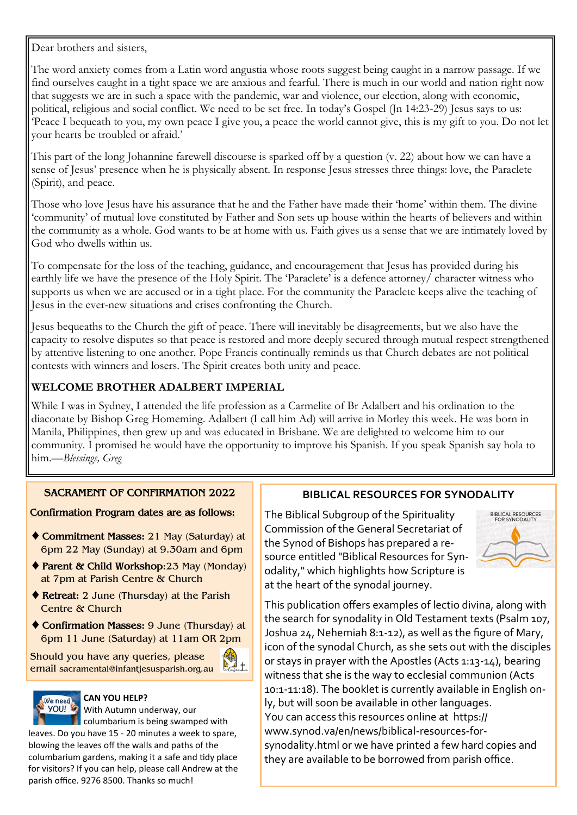Dear brothers and sisters,

The word anxiety comes from a Latin word angustia whose roots suggest being caught in a narrow passage. If we find ourselves caught in a tight space we are anxious and fearful. There is much in our world and nation right now that suggests we are in such a space with the pandemic, war and violence, our election, along with economic, political, religious and social conflict. We need to be set free. In today's Gospel (Jn 14:23-29) Jesus says to us: 'Peace I bequeath to you, my own peace I give you, a peace the world cannot give, this is my gift to you. Do not let your hearts be troubled or afraid.'

This part of the long Johannine farewell discourse is sparked off by a question (v. 22) about how we can have a sense of Jesus' presence when he is physically absent. In response Jesus stresses three things: love, the Paraclete (Spirit), and peace.

Those who love Jesus have his assurance that he and the Father have made their 'home' within them. The divine 'community' of mutual love constituted by Father and Son sets up house within the hearts of believers and within the community as a whole. God wants to be at home with us. Faith gives us a sense that we are intimately loved by God who dwells within us.

To compensate for the loss of the teaching, guidance, and encouragement that Jesus has provided during his earthly life we have the presence of the Holy Spirit. The 'Paraclete' is a defence attorney/ character witness who supports us when we are accused or in a tight place. For the community the Paraclete keeps alive the teaching of Jesus in the ever-new situations and crises confronting the Church.

Jesus bequeaths to the Church the gift of peace. There will inevitably be disagreements, but we also have the capacity to resolve disputes so that peace is restored and more deeply secured through mutual respect strengthened by attentive listening to one another. Pope Francis continually reminds us that Church debates are not political contests with winners and losers. The Spirit creates both unity and peace.

# **WELCOME BROTHER ADALBERT IMPERIAL**

While I was in Sydney, I attended the life profession as a Carmelite of Br Adalbert and his ordination to the diaconate by Bishop Greg Homeming. Adalbert (I call him Ad) will arrive in Morley this week. He was born in Manila, Philippines, then grew up and was educated in Brisbane. We are delighted to welcome him to our community. I promised he would have the opportunity to improve his Spanish. If you speak Spanish say hola to him.—*Blessings, Greg*

# **SACRAMENT OF CONFIRMATION 2022**

## **Confirmation Program dates are as follows:**

- **Commitment Masses:** 21 May (Saturday) at 6pm 22 May (Sunday) at 9.30am and 6pm
- **Parent & Child Workshop**:23 May (Monday) at 7pm at Parish Centre & Church
- ◆ Retreat: 2 June (Thursday) at the Parish Centre & Church
- **Confirmation Masses:** 9 June (Thursday) at 6pm 11 June (Saturday) at 11am OR 2pm

耑

Should you have any queries, please email sacramental@infantjesusparish.org.au



### **CAN YOU HELP?**

With Autumn underway, our **D** columbarium is being swamped with leaves. Do you have 15 - 20 minutes a week to spare, blowing the leaves off the walls and paths of the columbarium gardens, making it a safe and tidy place for visitors? If you can help, please call Andrew at the parish office. 9276 8500. Thanks so much!

# **BIBLICAL RESOURCES FOR SYNODALITY**

The Biblical Subgroup of the Spirituality Commission of the General Secretariat of the Synod of Bishops has prepared a resource entitled "Biblical Resources for Synodality," which highlights how Scripture is at the heart of the synodal journey.



This publication offers examples of lectio divina, along with the search for synodality in Old Testament texts (Psalm 107, Joshua 24, Nehemiah 8:1-12), as well as the figure of Mary, icon of the synodal Church, as she sets out with the disciples or stays in prayer with the Apostles (Acts 1:13-14), bearing witness that she is the way to ecclesial communion (Acts 10:1-11:18). The booklet is currently available in English only, but will soon be available in other languages. You can access this resources online at https:// www.synod.va/en/news/biblical-resources-forsynodality.html or we have printed a few hard copies and they are available to be borrowed from parish office.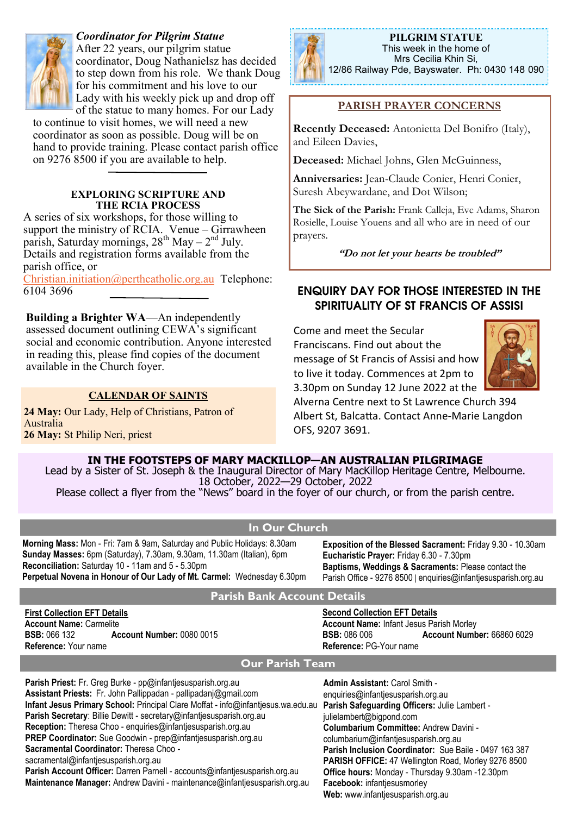

*Coordinator for Pilgrim Statue* After 22 years, our pilgrim statue coordinator, Doug Nathanielsz has decided to step down from his role. We thank Doug for his commitment and his love to our Lady with his weekly pick up and drop off of the statue to many homes. For our Lady

to continue to visit homes, we will need a new coordinator as soon as possible. Doug will be on hand to provide training. Please contact parish office on 9276 8500 if you are available to help.

### **EXPLORING SCRIPTURE AND THE RCIA PROCESS**

A series of six workshops, for those willing to support the ministry of RCIA. Venue – Girrawheen parish, Saturday mornings,  $28<sup>th</sup>$  May –  $2<sup>nd</sup>$  July. Details and registration forms available from the parish office, or

[Christian.initiation@perthcatholic.org.au](mailto:Christian.initiation@perthcatholic.org.au) Telephone: 6104 3696 **ENQUIRY DAY FOR THOSE INTERESTED IN THE** 

**Building a Brighter WA**—An independently assessed document outlining CEWA's significant social and economic contribution. Anyone interested in reading this, please find copies of the document available in the Church foyer.

### **CALENDAR OF SAINTS**

24 May: Our Lady, Help of Christians, Patron of Australia **26 May:** St Philip Neri, priest



**PILGRIM STATUE**  This week in the home of Mrs Cecilia Khin Si, 12/86 Railway Pde, Bayswater. Ph: 0430 148 090

## **PARISH PRAYER CONCERNS**

**Recently Deceased:** Antonietta Del Bonifro (Italy), and Eileen Davies,

**Deceased:** Michael Johns, Glen McGuinness,

**Anniversaries:** Jean-Claude Conier, Henri Conier, Suresh Abeywardane, and Dot Wilson;

**The Sick of the Parish:** Frank Calleja, Eve Adams, Sharon Rosielle, Louise Youens and all who are in need of our prayers.

**"Do not let your hearts be troubled"**

# **SPIRITUALITY OF ST FRANCIS OF ASSISI**

Come and meet the Secular Franciscans. Find out about the message of St Francis of Assisi and how to live it today. Commences at 2pm to 3.30pm on Sunday 12 June 2022 at the



Alverna Centre next to St Lawrence Church 394 Albert St, Balcatta. Contact Anne-Marie Langdon OFS, 9207 3691.

**IN THE FOOTSTEPS OF MARY MACKILLOP—AN AUSTRALIAN PILGRIMAGE**

Lead by a Sister of St. Joseph & the Inaugural Director of Mary MacKillop Heritage Centre, Melbourne. 18 October, 2022—29 October, 2022

Please collect a flyer from the "News" board in the foyer of our church, or from the parish centre.

## **In Our Church**

**Morning Mass:** Mon - Fri: 7am & 9am, Saturday and Public Holidays: 8.30am **Sunday Masses:** 6pm (Saturday), 7.30am, 9.30am, 11.30am (Italian), 6pm **Reconciliation:** Saturday 10 - 11am and 5 - 5.30pm **Perpetual Novena in Honour of Our Lady of Mt. Carmel:** Wednesday 6.30pm **Exposition of the Blessed Sacrament:** Friday 9.30 - 10.30am **Eucharistic Prayer:** Friday 6.30 - 7.30pm **Baptisms, Weddings & Sacraments:** Please contact the Parish Office - 9276 8500 | enquiries@infantjesusparish.org.au

### **Parish Bank Account Details**

**First Collection EFT Details Account Name:** Carmelite **BSB:** 066 132 **Account Number:** 0080 0015 **Reference:** Your name

**Second Collection EFT Details Account Name:** Infant Jesus Parish Morley **BSB:** 086 006 **Account Number:** 66860 6029 **Reference:** PG-Your name

## **Our Parish Team**

**Parish Priest:** Fr. Greg Burke - pp@infantjesusparish.org.au **Assistant Priests:** Fr. John Pallippadan - pallipadanj@gmail.com **Infant Jesus Primary School:** Principal Clare Moffat - info@infantjesus.wa.edu.au **Parish Safeguarding Officers:** Julie Lambert - **Parish Secretary**: Billie Dewitt - secretary@infantjesusparish.org.au **Reception:** Theresa Choo - enquiries@infantjesusparish.org.au **PREP Coordinator:** Sue Goodwin - prep@infantjesusparish.org.au **Sacramental Coordinator:** Theresa Choo sacramental@infantjesusparish.org.au **Parish Account Officer:** Darren Parnell - accounts@infantjesusparish.org.au **Maintenance Manager:** Andrew Davini - maintenance@infantjesusparish.org.au **Admin Assistant:** Carol Smith enquiries@infantiesusparish.org.au julielambert@bigpond.com **Columbarium Committee:** Andrew Davini columbarium@infantjesusparish.org.au **Parish Inclusion Coordinator:** Sue Baile - 0497 163 387 **PARISH OFFICE:** 47 Wellington Road, Morley 9276 8500 **Office hours:** Monday - Thursday 9.30am -12.30pm **Facebook:** infantjesusmorley **Web:** www.infantjesusparish.org.au